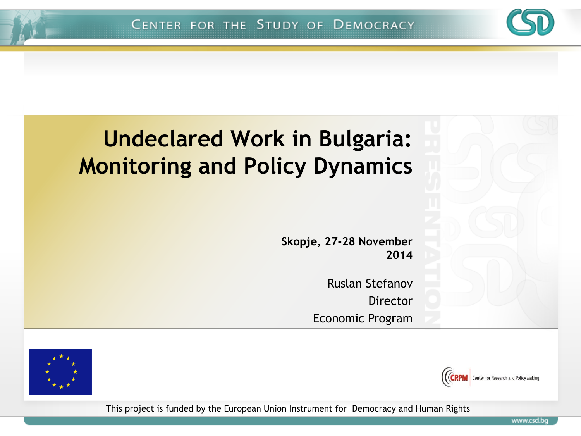

**Skopje, 27-28 November 2014**

> Ruslan Stefanov Director Economic Program





This project is funded by the European Union Instrument for Democracy and Human Rights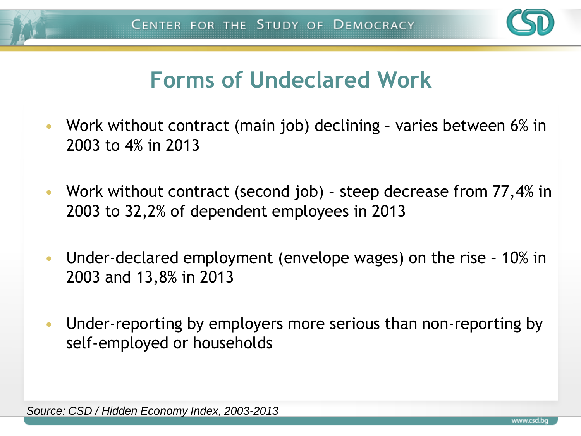

### **Forms of Undeclared Work**

- Work without contract (main job) declining varies between 6% in 2003 to 4% in 2013
- Work without contract (second job) steep decrease from 77,4% in 2003 to 32,2% of dependent employees in 2013
- Under-declared employment (envelope wages) on the rise 10% in 2003 and 13,8% in 2013
- Under-reporting by employers more serious than non-reporting by self-employed or households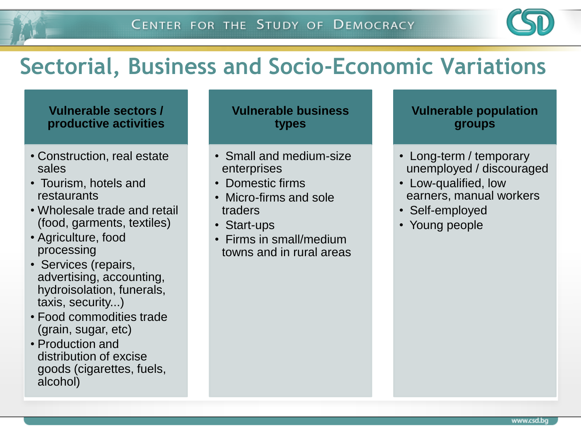

### **Sectorial, Business and Socio-Economic Variations**

#### **Vulnerable sectors / productive activities**

- Construction, real estate sales
- Tourism, hotels and restaurants
- Wholesale trade and retail (food, garments, textiles)
- Agriculture, food processing
- Services (repairs, advertising, accounting, hydroisolation, funerals, taxis, security...)
- Food commodities trade (grain, sugar, etc)
- Production and distribution of excise goods (cigarettes, fuels, alcohol)

**Vulnerable business types**

- Small and medium-size enterprises
- Domestic firms
- Micro-firms and sole traders
- Start-ups
- Firms in small/medium towns and in rural areas

#### **Vulnerable population groups**

- Long-term / temporary unemployed / discouraged
- Low-qualified, low earners, manual workers
- Self-employed
- Young people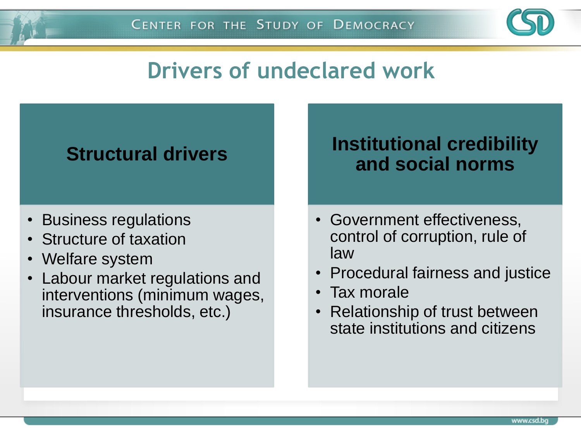

### **Drivers of undeclared work**

#### **Structural drivers**

- Business regulations
- Structure of taxation
- Welfare system
- Labour market regulations and interventions (minimum wages, insurance thresholds, etc.)

#### **Institutional credibility and social norms**

- Government effectiveness, control of corruption, rule of law
- Procedural fairness and justice
- Tax morale
- Relationship of trust between state institutions and citizens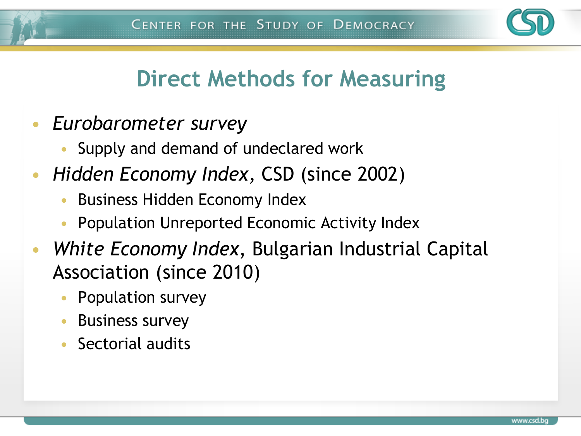

### **Direct Methods for Measuring**

- *Eurobarometer survey* 
	- Supply and demand of undeclared work
- *Hidden Economy Index,* CSD (since 2002)
	- Business Hidden Economy Index
	- Population Unreported Economic Activity Index
- *White Economy Index*, Bulgarian Industrial Capital Association (since 2010)
	- Population survey
	- Business survey
	- Sectorial audits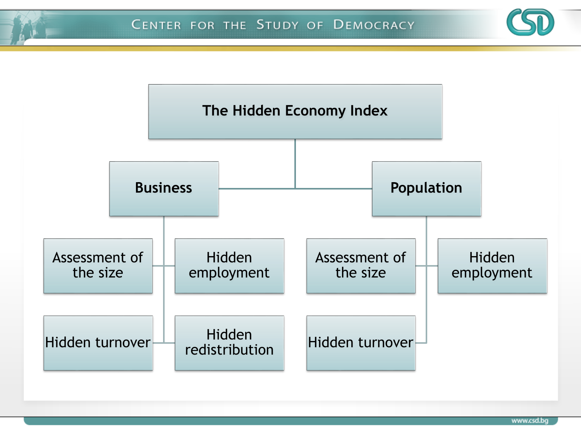

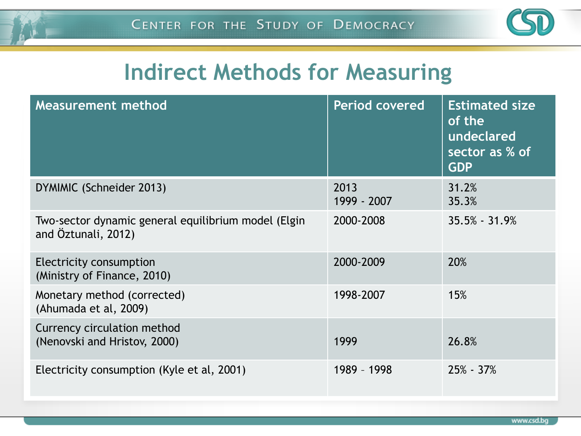

### **Indirect Methods for Measuring**

| <b>Measurement method</b>                                                  | <b>Period covered</b> | <b>Estimated size</b><br>of the<br>undeclared<br>sector as % of<br><b>GDP</b> |
|----------------------------------------------------------------------------|-----------------------|-------------------------------------------------------------------------------|
| DYMIMIC (Schneider 2013)                                                   | 2013<br>1999 - 2007   | 31.2%<br>35.3%                                                                |
| Two-sector dynamic general equilibrium model (Elgin<br>and Öztunali, 2012) | 2000-2008             | $35.5\% - 31.9\%$                                                             |
| <b>Electricity consumption</b><br>(Ministry of Finance, 2010)              | 2000-2009             | 20%                                                                           |
| Monetary method (corrected)<br>(Ahumada et al, 2009)                       | 1998-2007             | 15%                                                                           |
| Currency circulation method<br>(Nenovski and Hristov, 2000)                | 1999                  | 26.8%                                                                         |
| Electricity consumption (Kyle et al, 2001)                                 | 1989 - 1998           | $25\% - 37\%$                                                                 |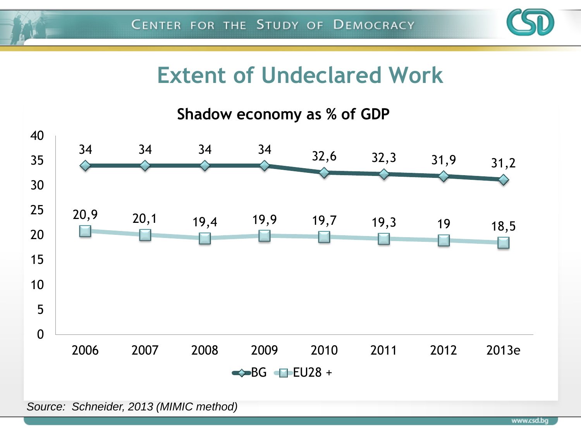

### **Extent of Undeclared Work**



*Source: Schneider, 2013 (MIMIC method)*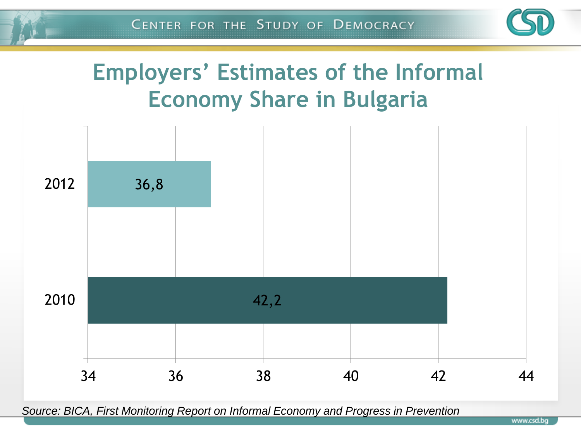

## **Employers' Estimates of the Informal Economy Share in Bulgaria**



*Source: BICA, First Monitoring Report on Informal Economy and Progress in Prevention*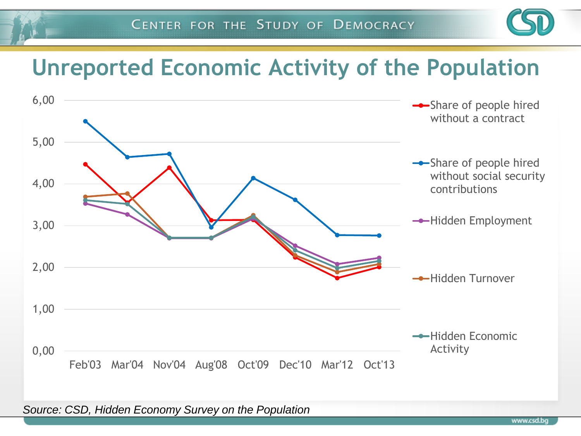

### **Unreported Economic Activity of the Population**



*Source: CSD, Hidden Economy Survey on the Population*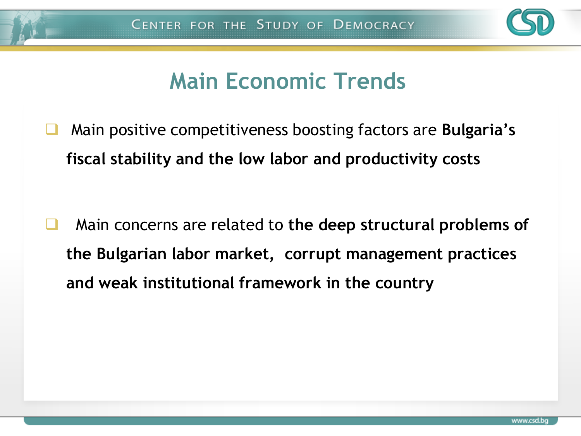

### **Main Economic Trends**

 Main positive competitiveness boosting factors are **Bulgaria's fiscal stability and the low labor and productivity costs**

 Main concerns are related to **the deep structural problems of the Bulgarian labor market, corrupt management practices and weak institutional framework in the country**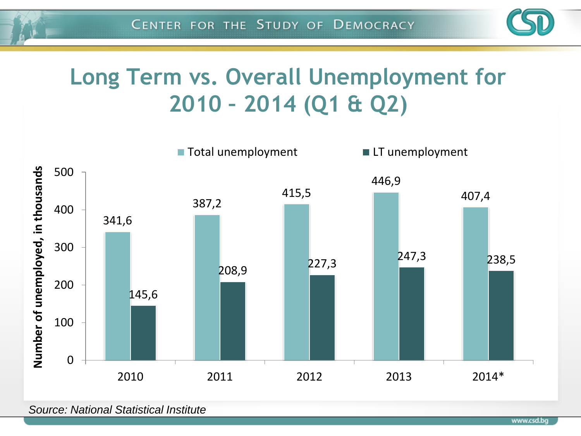

## **Long Term vs. Overall Unemployment for 2010 – 2014 (Q1 & Q2)**



*Source: National Statistical Institute*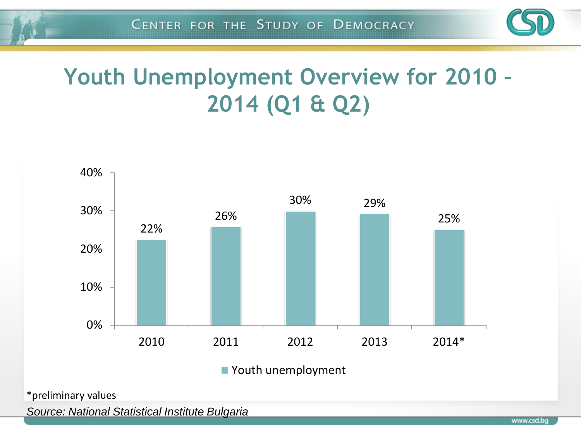

## **Youth Unemployment Overview for 2010 – 2014 (Q1 & Q2)**



■ Youth unemployment

\*preliminary values

*Source: National Statistical Institute Bulgaria*

www.csd.bq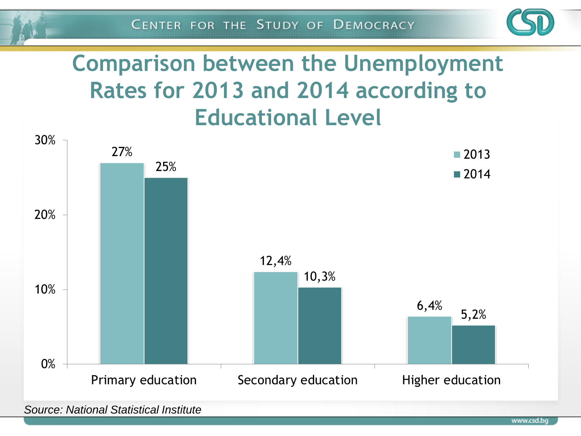

## **Comparison between the Unemployment Rates for 2013 and 2014 according to Educational Level**



*Source: National Statistical Institute*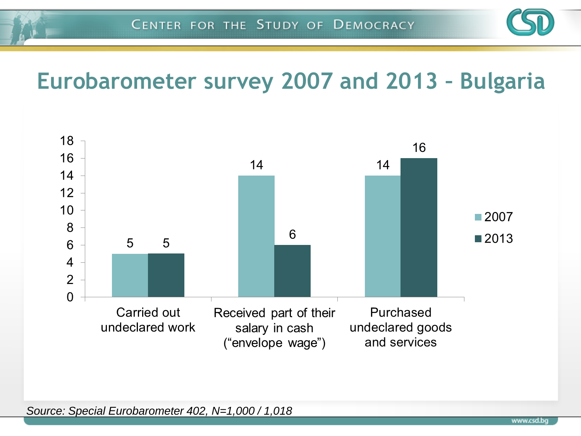

### **Eurobarometer survey 2007 and 2013 – Bulgaria**



*Source: Special Eurobarometer 402, N=1,000 / 1,018*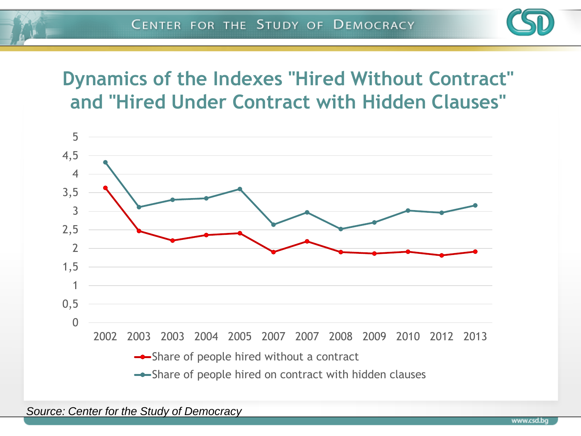

#### **Dynamics of the Indexes "Hired Without Contract" and "Hired Under Contract with Hidden Clauses"**

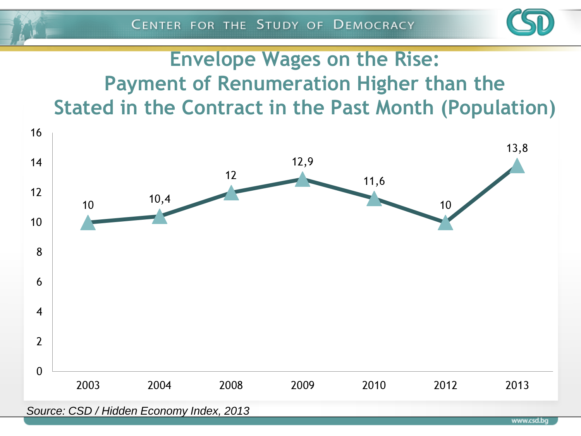

### **Envelope Wages on the Rise: Payment of Renumeration Higher than the Stated in the Contract in the Past Month (Population)**

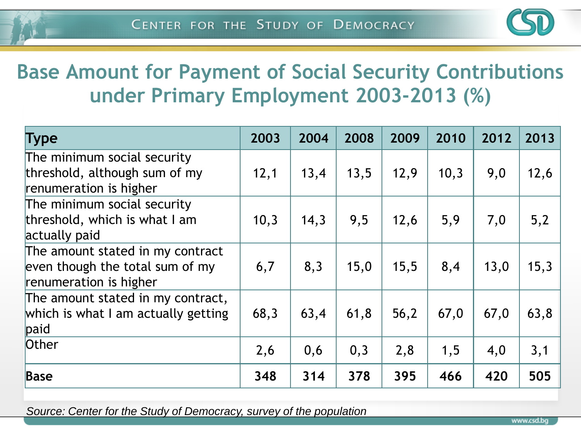

### **Base Amount for Payment of Social Security Contributions under Primary Employment 2003-2013 (%)**

| <b>Type</b>                         | 2003 | 2004 | 2008 | 2009 | 2010 | 2012 | 2013 |
|-------------------------------------|------|------|------|------|------|------|------|
| The minimum social security         |      |      |      |      |      |      |      |
| threshold, although sum of my       | 12,1 | 13,4 | 13,5 | 12,9 | 10,3 | 9,0  | 12,6 |
| renumeration is higher              |      |      |      |      |      |      |      |
| The minimum social security         |      |      |      |      |      |      |      |
| threshold, which is what I am       | 10,3 | 14,3 | 9,5  | 12,6 | 5,9  | 7,0  | 5,2  |
| actually paid                       |      |      |      |      |      |      |      |
| The amount stated in my contract    |      |      |      |      |      |      |      |
| even though the total sum of my     | 6,7  | 8,3  | 15,0 | 15,5 | 8,4  | 13,0 | 15,3 |
| renumeration is higher              |      |      |      |      |      |      |      |
| The amount stated in my contract,   |      |      |      |      |      |      |      |
| which is what I am actually getting | 68,3 | 63,4 | 61,8 | 56,2 | 67,0 | 67,0 | 63,8 |
| paid                                |      |      |      |      |      |      |      |
| Other                               | 2,6  | 0,6  | 0,3  | 2,8  | 1,5  | 4,0  | 3,1  |
| <b>Base</b>                         | 348  | 314  | 378  | 395  | 466  | 420  | 505  |

*Source: Center for the Study of Democracy, survey of the population*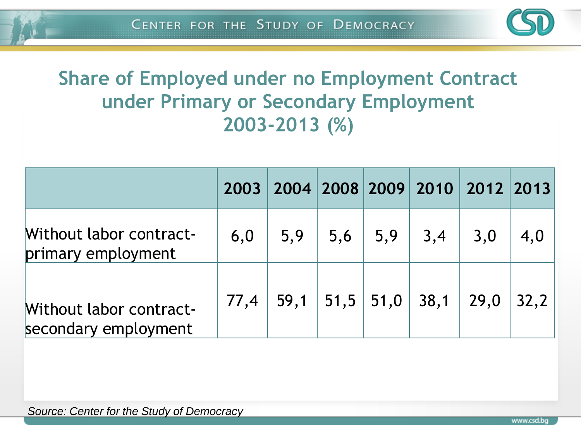

#### **Share of Employed under no Employment Contract under Primary or Secondary Employment 2003-2013 (%)**

|                                                        |      |     |  |                         | 2003   2004   2008   2009   2010   2012   2013 |     |
|--------------------------------------------------------|------|-----|--|-------------------------|------------------------------------------------|-----|
| Without labor contract-<br>primary employment          | 6,0  | 5,9 |  | $5,6$   5,9   3,4   3,0 |                                                | 4,0 |
| <b>Without labor contract-</b><br>secondary employment | 77,4 |     |  |                         | $-59,1$   51,5   51,0   38,1   29,0   32,2     |     |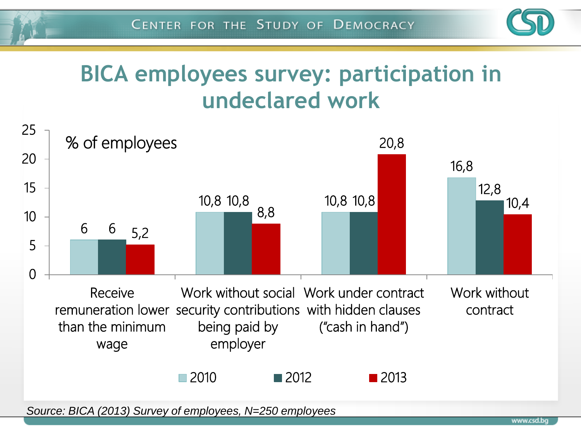

### **BICA employees survey: participation in undeclared work**



www.csd.bq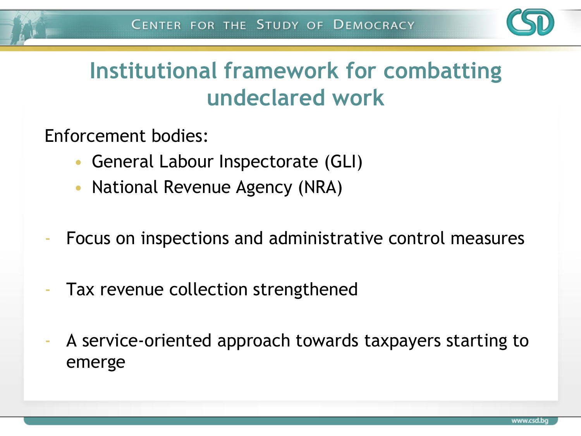

## **Institutional framework for combatting undeclared work**

Enforcement bodies:

- General Labour Inspectorate (GLI)
- National Revenue Agency (NRA)
- Focus on inspections and administrative control measures
- Tax revenue collection strengthened
- A service-oriented approach towards taxpayers starting to emerge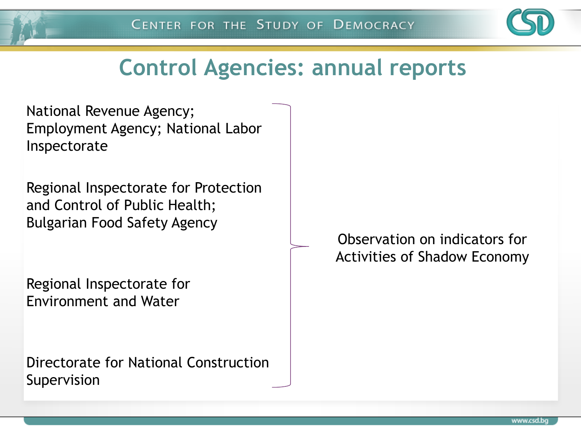

### **Control Agencies: annual reports**

National Revenue Agency; Employment Agency; National Labor Inspectorate

Regional Inspectorate for Protection and Control of Public Health; Bulgarian Food Safety Agency

Regional Inspectorate for Environment and Water

Directorate for National Construction Supervision

Observation on indicators for Activities of Shadow Economy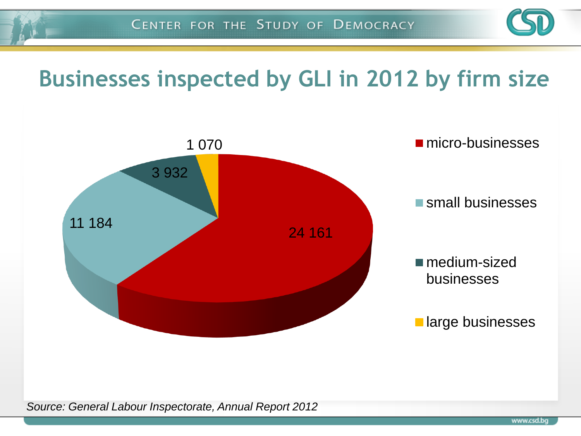

## **Businesses inspected by GLI in 2012 by firm size**

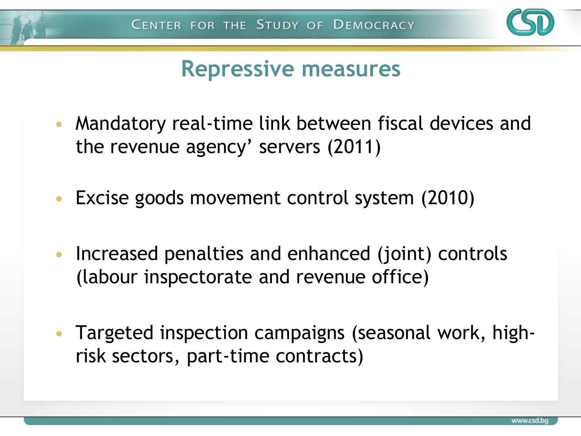

### **Repressive measures**

- Mandatory real-time link between fiscal devices and the revenue agency' servers (2011)
- Excise goods movement control system (2010)
- Increased penalties and enhanced (joint) controls (labour inspectorate and revenue office)
- Targeted inspection campaigns (seasonal work, highrisk sectors, part-time contracts)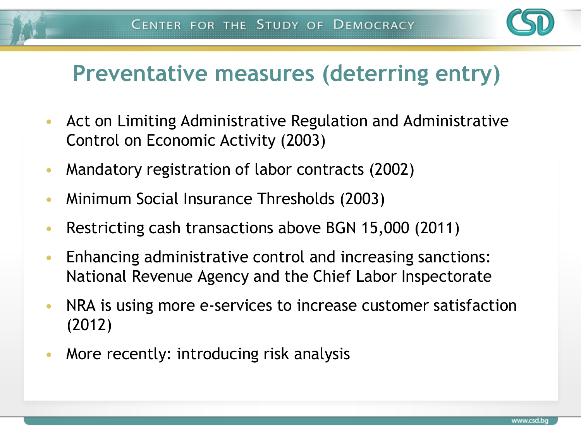

### **Preventative measures (deterring entry)**

- Act on Limiting Administrative Regulation and Administrative Control on Economic Activity (2003)
- Mandatory registration of labor contracts (2002)
- Minimum Social Insurance Thresholds (2003)
- Restricting cash transactions above BGN 15,000 (2011)
- Enhancing administrative control and increasing sanctions: National Revenue Agency and the Chief Labor Inspectorate
- NRA is using more e-services to increase customer satisfaction (2012)
- More recently: introducing risk analysis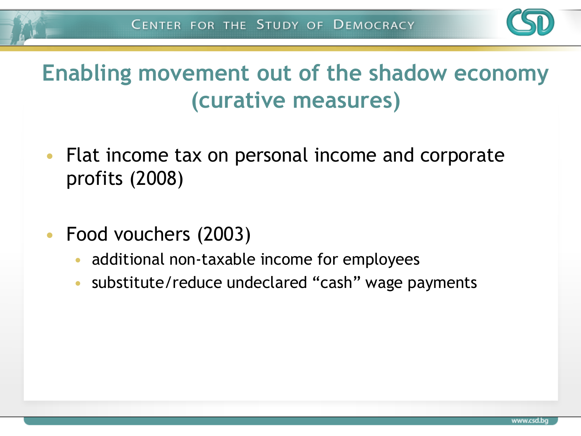

### **Enabling movement out of the shadow economy (curative measures)**

- Flat income tax on personal income and corporate profits (2008)
- Food vouchers (2003)
	- additional non-taxable income for employees
	- substitute/reduce undeclared "cash" wage payments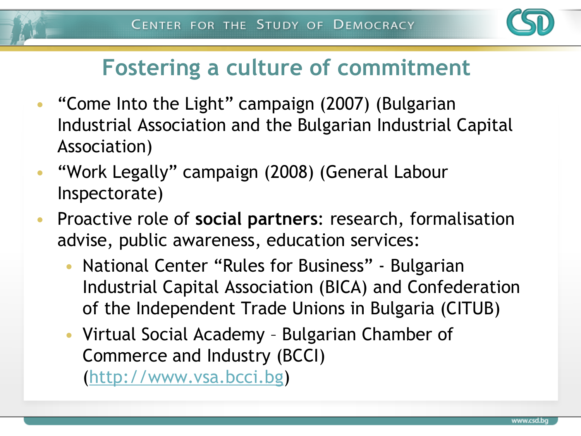

### **Fostering a culture of commitment**

- "Come Into the Light" campaign (2007) (Bulgarian Industrial Association and the Bulgarian Industrial Capital Association)
- "Work Legally" campaign (2008) (General Labour Inspectorate)
- Proactive role of **social partners**: research, formalisation advise, public awareness, education services:
	- National Center "Rules for Business" Bulgarian Industrial Capital Association (BICA) and Confederation of the Independent Trade Unions in Bulgaria (CITUB)
	- Virtual Social Academy Bulgarian Chamber of Commerce and Industry (BCCI) ([http://www.vsa.bcci.bg](http://www.vsa.bcci.bg/))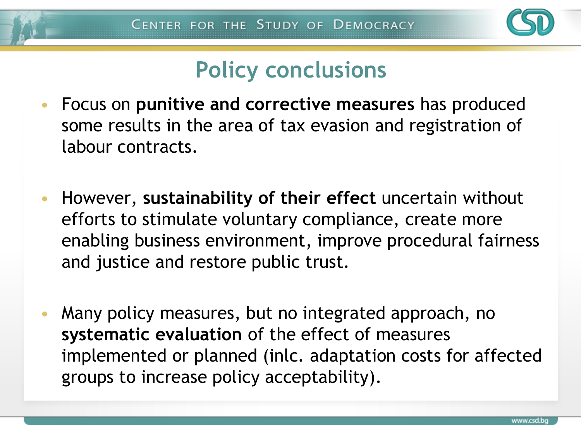

### **Policy conclusions**

- Focus on **punitive and corrective measures** has produced some results in the area of tax evasion and registration of labour contracts.
- However, **sustainability of their effect** uncertain without efforts to stimulate voluntary compliance, create more enabling business environment, improve procedural fairness and justice and restore public trust.
- Many policy measures, but no integrated approach, no **systematic evaluation** of the effect of measures implemented or planned (inlc. adaptation costs for affected groups to increase policy acceptability).